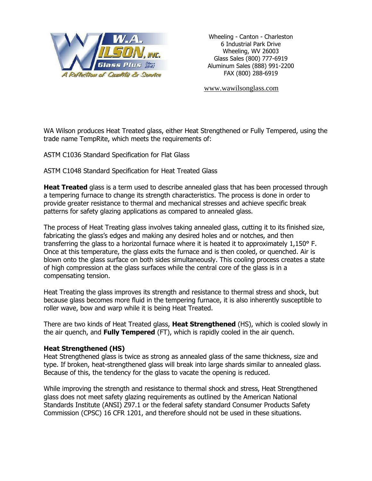

Wheeling - Canton - Charleston 6 Industrial Park Drive Wheeling, WV 26003 Glass Sales (800) 777-6919 Aluminum Sales (888) 991-2200 FAX (800) 288-6919

[www.wawilsonglass.com](http://www.wawilsonglass.com/)

WA Wilson produces Heat Treated glass, either Heat Strengthened or Fully Tempered, using the trade name TempRite, which meets the requirements of:

ASTM C1036 Standard Specification for Flat Glass

ASTM C1048 Standard Specification for Heat Treated Glass

**Heat Treated** glass is a term used to describe annealed glass that has been processed through a tempering furnace to change its strength characteristics. The process is done in order to provide greater resistance to thermal and mechanical stresses and achieve specific break patterns for safety glazing applications as compared to annealed glass.

The process of Heat Treating glass involves taking annealed glass, cutting it to its finished size, fabricating the glass's edges and making any desired holes and or notches, and then transferring the glass to a horizontal furnace where it is heated it to approximately 1,150° F. Once at this temperature, the glass exits the furnace and is then cooled, or quenched. Air is blown onto the glass surface on both sides simultaneously. This cooling process creates a state of high compression at the glass surfaces while the central core of the glass is in a compensating tension.

Heat Treating the glass improves its strength and resistance to thermal stress and shock, but because glass becomes more fluid in the tempering furnace, it is also inherently susceptible to roller wave, bow and warp while it is being Heat Treated.

There are two kinds of Heat Treated glass, **Heat Strengthened** (HS), which is cooled slowly in the air quench, and **Fully Tempered** (FT), which is rapidly cooled in the air quench.

## **Heat Strengthened (HS)**

Heat Strengthened glass is twice as strong as annealed glass of the same thickness, size and type. If broken, heat-strengthened glass will break into large shards similar to annealed glass. Because of this, the tendency for the glass to vacate the opening is reduced.

While improving the strength and resistance to thermal shock and stress, Heat Strengthened glass does not meet safety glazing requirements as outlined by the American National Standards Institute (ANSI) Z97.1 or the federal safety standard Consumer Products Safety Commission (CPSC) 16 CFR 1201, and therefore should not be used in these situations.